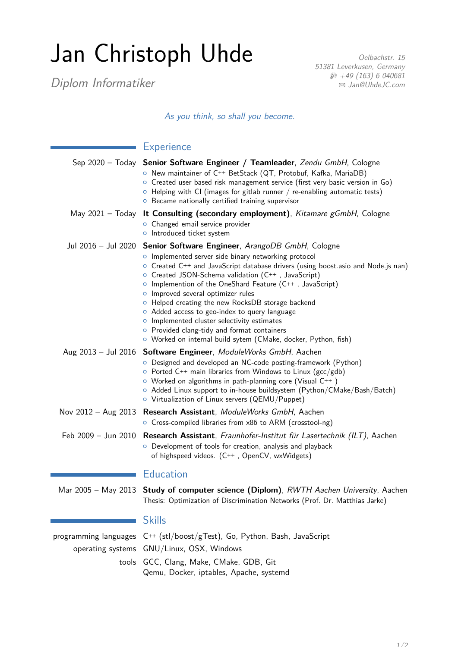## Jan Christoph Uhde

Diplom Informatiker

Oelbachstr. 15 51381 Leverkusen, Germany  $$49$  (163) 6 040681 B [Jan@UhdeJC.com](mailto:Jan@UhdeJC.com)

As you think, so shall you become.

| <b>Experience</b>                                                                                                                                                                                                                                                                                                                                                                                                                                                                                                                                                                                                                                    |
|------------------------------------------------------------------------------------------------------------------------------------------------------------------------------------------------------------------------------------------------------------------------------------------------------------------------------------------------------------------------------------------------------------------------------------------------------------------------------------------------------------------------------------------------------------------------------------------------------------------------------------------------------|
| Sep 2020 - Today Senior Software Engineer / Teamleader, Zendu GmbH, Cologne<br>O New maintainer of C++ BetStack (QT, Protobuf, Kafka, MariaDB)<br>o Created user based risk management service (first very basic version in Go)<br>$\circ$ Helping with CI (images for gitlab runner / re-enabling automatic tests)<br>O Became nationally certified training supervisor                                                                                                                                                                                                                                                                             |
| May 2021 - Today It Consulting (secondary employment), Kitamare gGmbH, Cologne<br>o Changed email service provider<br>o Introduced ticket system                                                                                                                                                                                                                                                                                                                                                                                                                                                                                                     |
| Jul 2016 - Jul 2020 Senior Software Engineer, ArangoDB GmbH, Cologne<br>o Implemented server side binary networking protocol<br>O Created C++ and JavaScript database drivers (using boost asio and Node js nan)<br>○ Created JSON-Schema validation (C++, JavaScript)<br>o Implemention of the OneShard Feature $(C^{++}$ , JavaScript)<br>o Improved several optimizer rules<br>• Helped creating the new RocksDB storage backend<br>o Added access to geo-index to query language<br>o Implemented cluster selectivity estimates<br>O Provided clang-tidy and format containers<br>O Worked on internal build sytem (CMake, docker, Python, fish) |
| Aug 2013 - Jul 2016 Software Engineer, ModuleWorks GmbH, Aachen<br>O Designed and developed an NC-code posting-framework (Python)<br>$\circ$ Ported C++ main libraries from Windows to Linux (gcc/gdb)<br>$\circ$ Worked on algorithms in path-planning core (Visual C++)<br>○ Added Linux support to in-house buildsystem (Python/CMake/Bash/Batch)<br>$\circ$ Virtualization of Linux servers (QEMU/Puppet)                                                                                                                                                                                                                                        |
| Nov 2012 - Aug 2013 Research Assistant, ModuleWorks GmbH, Aachen<br>○ Cross-compiled libraries from x86 to ARM (crosstool-ng)                                                                                                                                                                                                                                                                                                                                                                                                                                                                                                                        |
| Feb 2009 - Jun 2010 Research Assistant, Fraunhofer-Institut für Lasertechnik (ILT), Aachen<br>O Development of tools for creation, analysis and playback<br>of highspeed videos. (C++, OpenCV, wxWidgets)                                                                                                                                                                                                                                                                                                                                                                                                                                            |
| <b>Education</b>                                                                                                                                                                                                                                                                                                                                                                                                                                                                                                                                                                                                                                     |
| Mar 2005 - May 2013 Study of computer science (Diplom), RWTH Aachen University, Aachen<br>Thesis: Optimization of Discrimination Networks (Prof. Dr. Matthias Jarke)                                                                                                                                                                                                                                                                                                                                                                                                                                                                                 |

## Skills

programming languages C**++** (stl/boost/gTest), Go, Python, Bash, JavaScript operating systems GNU/Linux, OSX, Windows tools GCC, Clang, Make, CMake, GDB, Git Qemu, Docker, iptables, Apache, systemd